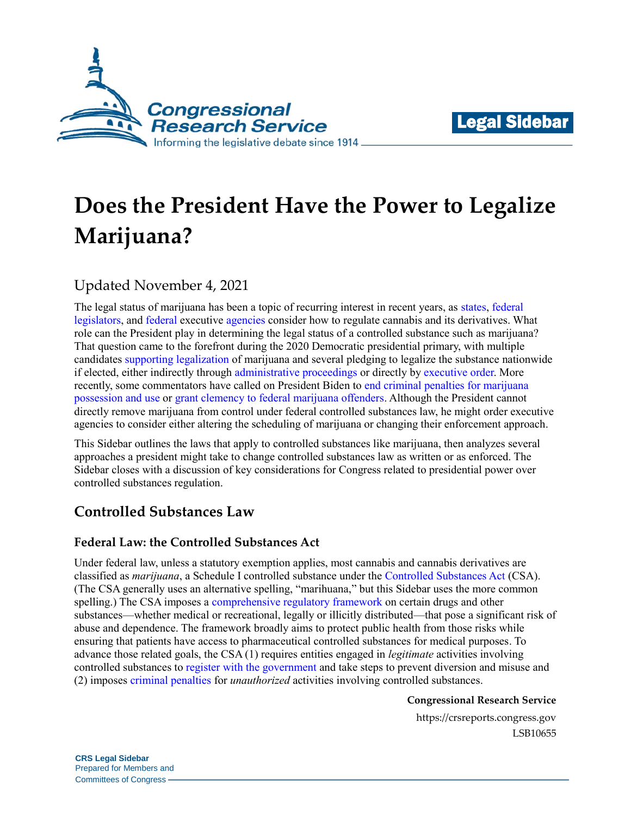



# **Does the President Have the Power to Legalize Marijuana?**

# Updated November 4, 2021

The legal status of marijuana has been a topic of recurring interest in recent years, as [states,](https://crsreports.congress.gov/product/pdf/LSB/LSB10482) [federal](https://crsreports.congress.gov/product/pdf/LSB/LSB10556)  [legislators,](https://crsreports.congress.gov/product/pdf/LSB/LSB10556) and [federal](https://www.dea.gov/stories/2021/2021-05/2021-05-14/dea-continues-prioritize-efforts-expand-access-marijuana-research) executive [agencies](https://www.fda.gov/news-events/public-health-focus/fda-regulation-cannabis-and-cannabis-derived-products-including-cannabidiol-cbd) consider how to regulate cannabis and its derivatives. What role can the President play in determining the legal status of a controlled substance such as marijuana? That question came to the forefront during the 2020 Democratic presidential primary, with multiple candidates [supporting legalization](https://www.politico.com/2020-election/candidates-views-on-the-issues/marijuana-cannabis-legalization/legalizing-marijuana/) of marijuana and several pledging to legalize the substance nationwide if elected, either indirectly through [administrative proceedings](https://www.politico.com/news/2020/02/23/warren-marijuana-tobacco-plan-2020-116948) or directly by [executive order.](https://www.forbes.com/sites/tomangell/2020/02/01/bernie-sanders-pledges-legal-marijuana-in-all-50-states-on-day-one-as-president/#58c45e621c16) More recently, some commentators have called on President Biden to end [criminal penalties for marijuana](https://www.usmayors.org/the-conference/resolutions/?category=a0F4N00000PTL9j&meeting=89th%20Annual%20Meeting) [possession and use](https://www.usmayors.org/the-conference/resolutions/?category=a0F4N00000PTL9j&meeting=89th%20Annual%20Meeting) or [grant clemency to federal marijuana offenders.](https://www.forbes.com/sites/dariosabaghi/2021/09/21/drake-kevin-garnett-and-other-celebrities-urge-president-biden-to-release-marijuana-prisoners/?sh=4b35bc691693) Although the President cannot directly remove marijuana from control under federal controlled substances law, he might order executive agencies to consider either altering the scheduling of marijuana or changing their enforcement approach.

This Sidebar outlines the laws that apply to controlled substances like marijuana, then analyzes several approaches a president might take to change controlled substances law as written or as enforced. The Sidebar closes with a discussion of key considerations for Congress related to presidential power over controlled substances regulation.

## **Controlled Substances Law**

## **Federal Law: the Controlled Substances Act**

Under federal law, unless a statutory exemption applies, most cannabis and cannabis derivatives are classified as *marijuana*, a Schedule I controlled substance under the [Controlled Substances Act](https://uscode.house.gov/view.xhtml?path=/prelim@title21/chapter13/subchapter1&edition=prelim) (CSA). (The CSA generally uses an alternative spelling, "marihuana," but this Sidebar uses the more common spelling.) The CSA imposes a [comprehensive regulatory framework](https://crsreports.congress.gov/product/pdf/R/R45948) on certain drugs and other substances—whether medical or recreational, legally or illicitly distributed—that pose a significant risk of abuse and dependence. The framework broadly aims to protect public health from those risks while ensuring that patients have access to pharmaceutical controlled substances for medical purposes. To advance those related goals, the CSA (1) requires entities engaged in *legitimate* activities involving controlled substances to [register with the government](https://crsreports.congress.gov/product/pdf/R/R45948#_Toc21598644) and take steps to prevent diversion and misuse and (2) imposes [criminal penalties](https://crsreports.congress.gov/product/pdf/R/R45948#_Toc21598653) for *unauthorized* activities involving controlled substances.

#### **Congressional Research Service**

https://crsreports.congress.gov LSB10655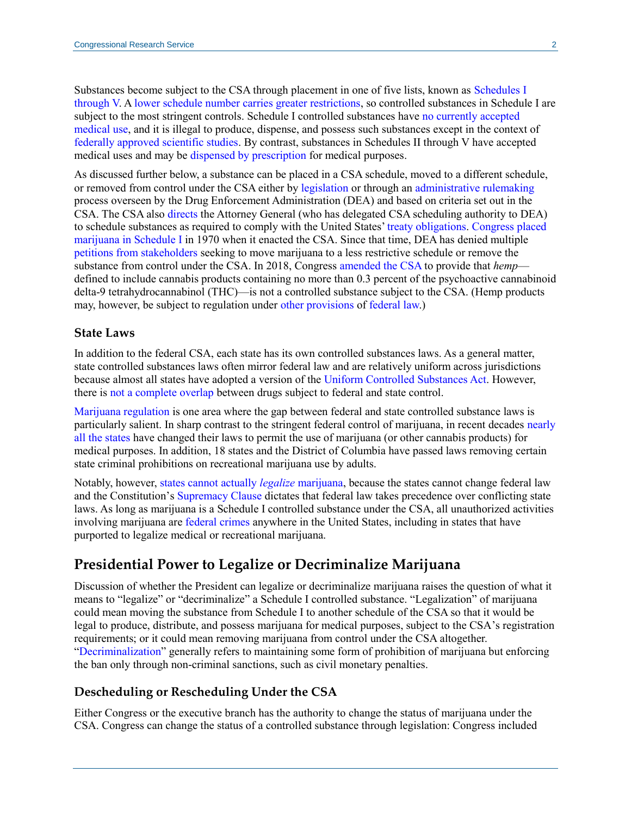Substances become subject to the CSA through placement in one of five lists, known as [Schedules I](https://www.dea.gov/drug-scheduling)  [through V.](https://www.dea.gov/drug-scheduling) [A lower schedule number carries greater restrictions,](https://scholar.google.com/scholar_case?case=6631682367030577571&q=484+F.3d+561&hl=en&as_sdt=6,47#p563) so controlled substances in Schedule I are subject to the most stringent controls. Schedule I controlled substances have [no currently accepted](https://uscode.house.gov/view.xhtml?req=granuleid:USC-prelim-title21-section812&num=0&edition=prelim)  [medical use,](https://uscode.house.gov/view.xhtml?req=granuleid:USC-prelim-title21-section812&num=0&edition=prelim) and it is illegal to produce, dispense, and possess such substances except in the context of [federally approved scientific studies.](https://uscode.house.gov/view.xhtml?req=granuleid:USC-prelim-title21-section823&num=0&edition=prelim) By contrast, substances in Schedules II through V have accepted medical uses and may be [dispensed by prescription](https://uscode.house.gov/view.xhtml?req=granuleid:USC-prelim-title21-section829&num=0&edition=prelim) for medical purposes.

As discussed further below, a substance can be placed in a CSA schedule, moved to a different schedule, or removed from control under the CSA either by [legislation](https://www.congress.gov/116/plaws/publ114/PLAW-116publ114.pdf) or through an [administrative rulemaking](https://uscode.house.gov/view.xhtml?req=granuleid:USC-prelim-title21-section811&num=0&edition=prelim) process overseen by the Drug Enforcement Administration (DEA) and based on criteria set out in the CSA. The CSA also [directs](https://uscode.house.gov/view.xhtml?req=granuleid:USC-prelim-title21-section811&num=0&edition=prelim) the Attorney General (who has delegated CSA scheduling authority to DEA) to schedule substances as required to comply with the United States' [treaty obligations.](https://crsreports.congress.gov/product/pdf/R/R45948#_Toc21598643) [Congress placed](https://www.govinfo.gov/content/pkg/STATUTE-84/pdf/STATUTE-84-Pg1236.pdf#page=14)  [marijuana in Schedule I](https://www.govinfo.gov/content/pkg/STATUTE-84/pdf/STATUTE-84-Pg1236.pdf#page=14) in 1970 when it enacted the CSA. Since that time, DEA has denied multiple [petitions from stakeholders](https://scholar.google.com/scholar_case?case=9842327817238142794&q=15+F.3d+1131&hl=en&as_sdt=6,47#p1133) seeking to move marijuana to a less restrictive schedule or remove the substance from control under the CSA. In 2018, Congress [amended the CSA](https://www.congress.gov/bill/115th-congress/house-bill/2/text) to provide that *hemp* defined to include cannabis products containing no more than 0.3 percent of the psychoactive cannabinoid delta-9 tetrahydrocannabinol (THC)—is not a controlled substance subject to the CSA. (Hemp products may, however, be subject to regulation under [other provisions](https://crsreports.congress.gov/product/pdf/IF/IF11088) of [federal law.](https://crsreports.congress.gov/product/pdf/IF/IF11250))

#### **State Laws**

In addition to the federal CSA, each state has its own controlled substances laws. As a general matter, state controlled substances laws often mirror federal law and are relatively uniform across jurisdictions because almost all states have adopted a version of the [Uniform Controlled Substances Act.](https://www.uniformlaws.org/HigherLogic/System/DownloadDocumentFile.ashx?DocumentFileKey=34039f08-ab0d-24fd-d349-b8f58e81b281) However, there is [not a complete overlap](https://crsreports.congress.gov/product/pdf/R/R45948#_Toc21598635) between drugs subject to federal and state control.

[Marijuana regulation](https://crsreports.congress.gov/product/pdf/R/R44782) is one area where the gap between federal and state controlled substance laws is particularly salient. In sharp contrast to the stringent federal control of marijuana, in recent decades [nearly](https://www.ncsl.org/research/health/state-medical-marijuana-laws.aspx)  [all the states](https://www.ncsl.org/research/health/state-medical-marijuana-laws.aspx) have changed their laws to permit the use of marijuana (or other cannabis products) for medical purposes. In addition, 18 states and the District of Columbia have passed laws removing certain state criminal prohibitions on recreational marijuana use by adults.

Notably, however, [states cannot actually](https://scholar.google.com/scholar_case?case=15647611274064109718&q=545+U.S.+1&hl=en&as_sdt=6,47#p29) *legalize* marijuana, because the states cannot change federal law and the Constitution's [Supremacy Clause](https://constitution.congress.gov/constitution/article-6/) dictates that federal law takes precedence over conflicting state laws. As long as marijuana is a Schedule I controlled substance under the CSA, all unauthorized activities involving marijuana are [federal crimes](https://uscode.house.gov/view.xhtml?path=/prelim@title21/chapter13/subchapter1/partD&edition=prelim) anywhere in the United States, including in states that have purported to legalize medical or recreational marijuana.

## **Presidential Power to Legalize or Decriminalize Marijuana**

Discussion of whether the President can legalize or decriminalize marijuana raises the question of what it means to "legalize" or "decriminalize" a Schedule I controlled substance. "Legalization" of marijuana could mean moving the substance from Schedule I to another schedule of the CSA so that it would be legal to produce, distribute, and possess marijuana for medical purposes, subject to the CSA's registration requirements; or it could mean removing marijuana from control under the CSA altogether. ["Decriminalization"](https://www.nbc12.com/2020/05/25/gov-northam-signs-bill-decriminalize-marijuana-virginia/) generally refers to maintaining some form of prohibition of marijuana but enforcing the ban only through non-criminal sanctions, such as civil monetary penalties.

#### **Descheduling or Rescheduling Under the CSA**

Either Congress or the executive branch has the authority to change the status of marijuana under the CSA. Congress can change the status of a controlled substance through legislation: Congress included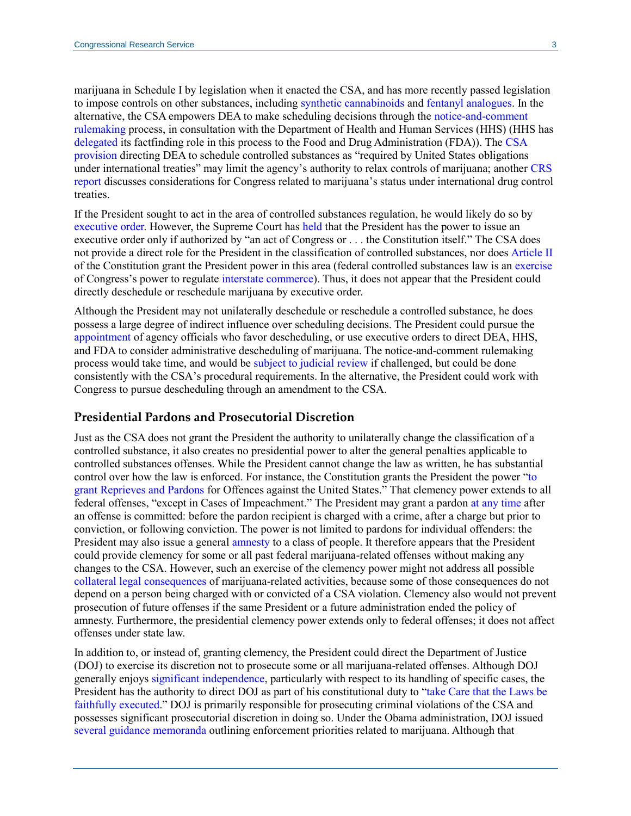marijuana in Schedule I by legislation when it enacted the CSA, and has more recently passed legislation to impose controls on other substances, including [synthetic cannabinoids](https://www.congress.gov/112/plaws/publ144/PLAW-112publ144.pdf#page=138) and [fentanyl analogues.](https://crsreports.congress.gov/product/pdf/LSB/LSB10404) In the alternative, the CSA empowers DEA to make scheduling decisions through the [notice-and-comment](https://uscode.house.gov/view.xhtml?req=granuleid:USC-prelim-title21-section811&num=0&edition=prelim)  [rulemaking](https://uscode.house.gov/view.xhtml?req=granuleid:USC-prelim-title21-section811&num=0&edition=prelim) process, in consultation with the Department of Health and Human Services (HHS) (HHS has [delegated](https://www.govinfo.gov/content/pkg/FR-2019-06-17/pdf/2019-12723.pdf#page=2) its factfinding role in this process to the Food and Drug Administration (FDA)). The [CSA](https://uscode.house.gov/view.xhtml?req=(title:21%20section:811%20edition:prelim)%20OR%20(granuleid:USC-prelim-title21-section811)&f=treesort&edition=prelim&num=0&jumpTo=true)  [provision](https://uscode.house.gov/view.xhtml?req=(title:21%20section:811%20edition:prelim)%20OR%20(granuleid:USC-prelim-title21-section811)&f=treesort&edition=prelim&num=0&jumpTo=true) directing DEA to schedule controlled substances as "required by United States obligations under international treaties" may limit the agency's authority to relax controls of marijuana; another [CRS](https://crsreports.congress.gov/product/pdf/R/R45948#_Toc63423607)  [report](https://crsreports.congress.gov/product/pdf/R/R45948#_Toc63423607) discusses considerations for Congress related to marijuana's status under international drug control treaties.

If the President sought to act in the area of controlled substances regulation, he would likely do so by [executive order.](https://crsreports.congress.gov/product/pdf/LSB/LSB10172) However, the Supreme Court has [held](https://tile.loc.gov/storage-services/service/ll/usrep/usrep343/usrep343579/usrep343579.pdf#page=7) that the President has the power to issue an executive order only if authorized by "an act of Congress or . . . the Constitution itself." The CSA does not provide a direct role for the President in the classification of controlled substances, nor doe[s Article II](https://constitution.congress.gov/constitution/article-2/) of the Constitution grant the President power in this area (federal controlled substances law is a[n exercise](https://scholar.google.com/scholar_case?case=15647611274064109718&q=545+U.S.+1&hl=en&as_sdt=20006#p15) of Congress's power to regulate [interstate commerce\)](https://constitution.congress.gov/browse/essay/artI-S8-C3-1-2/ALDE_00001058/). Thus, it does not appear that the President could directly deschedule or reschedule marijuana by executive order.

Although the President may not unilaterally deschedule or reschedule a controlled substance, he does possess a large degree of indirect influence over scheduling decisions. The President could pursue the [appointment](https://crsreports.congress.gov/product/pdf/LSB/LSB10153) of agency officials who favor descheduling, or use executive orders to direct DEA, HHS, and FDA to consider administrative descheduling of marijuana. The notice-and-comment rulemaking process would take time, and would be [subject to judicial review](https://uscode.house.gov/view.xhtml?req=granuleid:USC-prelim-title21-section877&num=0&edition=prelim) if challenged, but could be done consistently with the CSA's procedural requirements. In the alternative, the President could work with Congress to pursue descheduling through an amendment to the CSA.

#### **Presidential Pardons and Prosecutorial Discretion**

Just as the CSA does not grant the President the authority to unilaterally change the classification of a controlled substance, it also creates no presidential power to alter the general penalties applicable to controlled substances offenses. While the President cannot change the law as written, he has substantial control over how the law is enforced. For instance, the Constitution grants the President the power ["to](https://constitution.congress.gov/constitution/article-2/)  [grant Reprieves and Pardons](https://constitution.congress.gov/constitution/article-2/) for Offences against the United States." That clemency power extends to all federal offenses, "except in Cases of Impeachment." The President may grant a pardon [at any time](https://crsreports.congress.gov/product/pdf/R/R46179#_Toc30077275) after an offense is committed: before the pardon recipient is charged with a crime, after a charge but prior to conviction, or following conviction. The power is not limited to pardons for individual offenders: the President may also issue a general [amnesty](https://scholar.google.com/scholar_case?case=9196727122146528912&q=95+U.S.+149&hl=en&as_sdt=6,47#p152) to a class of people. It therefore appears that the President could provide clemency for some or all past federal marijuana-related offenses without making any changes to the CSA. However, such an exercise of the clemency power might not address all possible [collateral legal consequences](https://crsreports.congress.gov/product/pdf/R/R45948#_Toc21598659) of marijuana-related activities, because some of those consequences do not depend on a person being charged with or convicted of a CSA violation. Clemency also would not prevent prosecution of future offenses if the same President or a future administration ended the policy of amnesty. Furthermore, the presidential clemency power extends only to federal offenses; it does not affect offenses under state law.

In addition to, or instead of, granting clemency, the President could direct the Department of Justice (DOJ) to exercise its discretion not to prosecute some or all marijuana-related offenses. Although DOJ generally enjoys [significant independence,](https://www.justice.gov/sites/default/files/ag/legacy/2008/04/15/ag-121907.pdf) particularly with respect to its handling of specific cases, the President has the authority to direct DOJ as part of his constitutional duty to ["take Care that the Laws be](https://constitution.congress.gov/constitution/article-2/#article-2-section-3)  [faithfully executed.](https://constitution.congress.gov/constitution/article-2/#article-2-section-3)" DOJ is primarily responsible for prosecuting criminal violations of the CSA and possesses significant prosecutorial discretion in doing so. Under the Obama administration, DOJ issued [several](https://www.justice.gov/sites/default/files/opa/legacy/2009/10/19/medical-marijuana.pdf) [guidance](https://www.justice.gov/sites/default/files/oip/legacy/2014/07/23/dag-guidance-2011-for-medical-marijuana-use.pdf) [memoranda](https://www.justice.gov/iso/opa/resources/3052013829132756857467.pdf) outlining enforcement priorities related to marijuana. Although that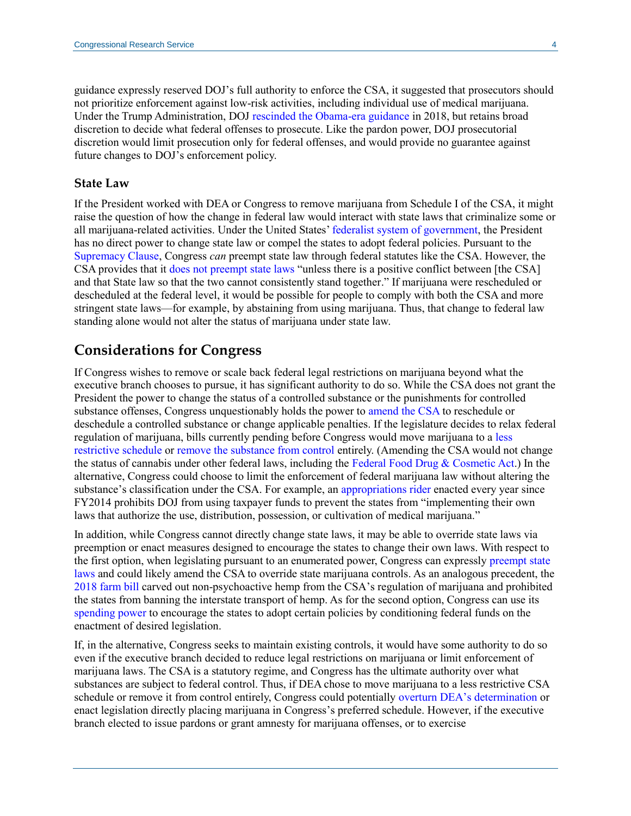guidance expressly reserved DOJ's full authority to enforce the CSA, it suggested that prosecutors should not prioritize enforcement against low-risk activities, including individual use of medical marijuana. Under the Trump Administration, DOJ [rescinded the Obama-era guidance](https://www.justice.gov/opa/press-release/file/1022196/download) in 2018, but retains broad discretion to decide what federal offenses to prosecute. Like the pardon power, DOJ prosecutorial discretion would limit prosecution only for federal offenses, and would provide no guarantee against future changes to DOJ's enforcement policy.

#### **State Law**

If the President worked with DEA or Congress to remove marijuana from Schedule I of the CSA, it might raise the question of how the change in federal law would interact with state laws that criminalize some or all marijuana-related activities. Under the United States[' federalist system of](https://crsreports.congress.gov/product/pdf/R/R45323) government, the President has no direct power to change state law or compel the states to adopt federal policies. Pursuant to the [Supremacy Clause,](https://constitution.congress.gov/constitution/article-6/) Congress *can* preempt state law through federal statutes like the CSA. However, the CSA provides that it [does not preempt state laws](https://uscode.house.gov/view.xhtml?req=granuleid:USC-prelim-title21-section903&num=0&edition=prelim) "unless there is a positive conflict between [the CSA] and that State law so that the two cannot consistently stand together." If marijuana were rescheduled or descheduled at the federal level, it would be possible for people to comply with both the CSA and more stringent state laws—for example, by abstaining from using marijuana. Thus, that change to federal law standing alone would not alter the status of marijuana under state law.

## **Considerations for Congress**

If Congress wishes to remove or scale back federal legal restrictions on marijuana beyond what the executive branch chooses to pursue, it has significant authority to do so. While the CSA does not grant the President the power to change the status of a controlled substance or the punishments for controlled substance offenses, Congress unquestionably holds the power to [amend the CSA](https://crsreports.congress.gov/product/pdf/R/R45948#_Toc63423588) to reschedule or deschedule a controlled substance or change applicable penalties. If the legislature decides to relax federal regulation of marijuana, bills currently pending before Congress would move marijuana to a [less](https://www.congress.gov/bill/117th-congress/house-bill/365/text)  [restrictive schedule](https://www.congress.gov/bill/117th-congress/house-bill/365/text) or [remove the substance from control](https://www.congress.gov/bill/117th-congress/house-bill/3617/text) entirely. (Amending the CSA would not change the status of cannabis under other federal laws, including the [Federal Food Drug & Cosmetic Act.](https://uscode.house.gov/view.xhtml?path=/prelim@title21/chapter9&edition=prelim)) In the alternative, Congress could choose to limit the enforcement of federal marijuana law without altering the substance's classification under the CSA. For example, an [appropriations rider](https://www.congress.gov/bill/116th-congress/house-bill/133/text) enacted every year since FY2014 prohibits DOJ from using taxpayer funds to prevent the states from "implementing their own laws that authorize the use, distribution, possession, or cultivation of medical marijuana."

In addition, while Congress cannot directly change state laws, it may be able to override state laws via preemption or enact measures designed to encourage the states to change their own laws. With respect to the first option, when legislating pursuant to an enumerated power, Congress can expressly [preempt state](https://crsreports.congress.gov/product/pdf/R/R45825)  [laws](https://crsreports.congress.gov/product/pdf/R/R45825) and could likely amend the CSA to override state marijuana controls. As an analogous precedent, the [2018 farm bill](https://www.congress.gov/bill/115th-congress/house-bill/2/text) carved out non-psychoactive hemp from the CSA's regulation of marijuana and prohibited the states from banning the interstate transport of hemp. As for the second option, Congress can use its [spending power](https://crsreports.congress.gov/product/pdf/R/R46827) to encourage the states to adopt certain policies by conditioning federal funds on the enactment of desired legislation.

If, in the alternative, Congress seeks to maintain existing controls, it would have some authority to do so even if the executive branch decided to reduce legal restrictions on marijuana or limit enforcement of marijuana laws. The CSA is a statutory regime, and Congress has the ultimate authority over what substances are subject to federal control. Thus, if DEA chose to move marijuana to a less restrictive CSA schedule or remove it from control entirely, Congress could potentially overturn [DEA's determination](https://crsreports.congress.gov/product/pdf/IF/IF11096) or enact legislation directly placing marijuana in Congress's preferred schedule. However, if the executive branch elected to issue pardons or grant amnesty for marijuana offenses, or to exercise